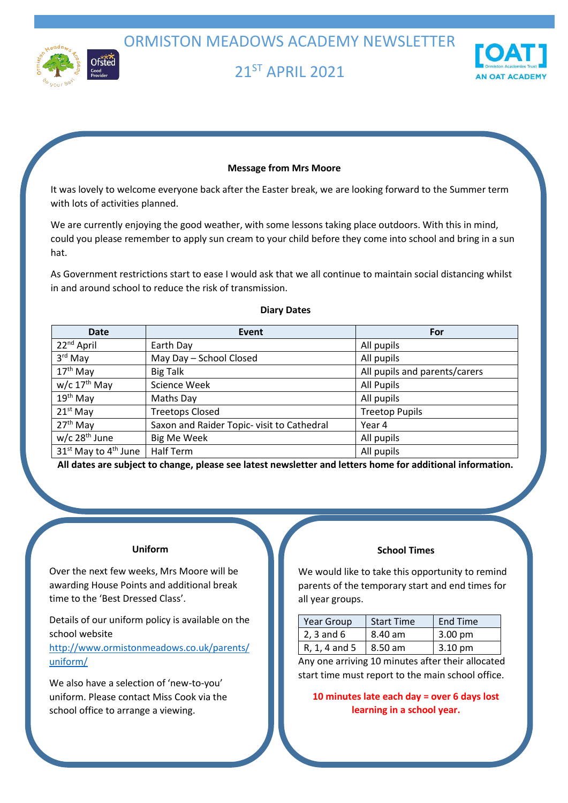ORMISTON MEADOWS ACADEMY NEWSLETTER



21 ST APRIL 2021



### **Message from Mrs Moore**

It was lovely to welcome everyone back after the Easter break, we are looking forward to the Summer term with lots of activities planned.

We are currently enjoying the good weather, with some lessons taking place outdoors. With this in mind, could you please remember to apply sun cream to your child before they come into school and bring in a sun hat.

As Government restrictions start to ease I would ask that we all continue to maintain social distancing whilst in and around school to reduce the risk of transmission.

**Diary Dates**

# **Date Event Exercise Event For** 22<sup>nd</sup> April **All pupils Earth Day** All pupils **All pupils**  $3<sup>rd</sup>$  May May Day – School Closed All pupils 17<sup>th</sup> May Big Talk Business Business and parents/carers and parents/carers and parents/carers  $w/c$  17<sup>th</sup> May Science Week All Pupils 19<sup>th</sup> May Maths Day Maths Only Maths All pupils **All pupils** 21<sup>st</sup> May Treetops Closed Treetop Pupils  $27<sup>th</sup>$  May Saxon and Raider Topic- visit to Cathedral Year 4  $w/c$  28<sup>th</sup> June Big Me Week All pupils and  $\frac{1}{2}$  all pupils  $31<sup>st</sup>$  May to  $4<sup>th</sup>$  June Half Term All pupils All pupils

**All dates are subject to change, please see latest newsletter and letters home for additional information.**

## **Uniform**

Over the next few weeks, Mrs Moore will be awarding House Points and additional break time to the 'Best Dressed Class'.

Details of our uniform policy is available on the school website

[http://www.ormistonmeadows.co.uk/parents/](http://www.ormistonmeadows.co.uk/parents/uniform/) [uniform/](http://www.ormistonmeadows.co.uk/parents/uniform/)

We also have a selection of 'new-to-you' uniform. Please contact Miss Cook via the school office to arrange a viewing.

#### **School Times**

We would like to take this opportunity to remind parents of the temporary start and end times for all year groups.

| Year Group     | <b>Start Time</b> | End Time          |
|----------------|-------------------|-------------------|
| $2, 3$ and $6$ | 8.40 am           | $3.00 \text{ pm}$ |
| R, 1, 4 and 5  | $\vert$ 8.50 am   | $3.10 \text{ pm}$ |

Any one arriving 10 minutes after their allocated start time must report to the main school office.

**10 minutes late each day = over 6 days lost learning in a school year.**